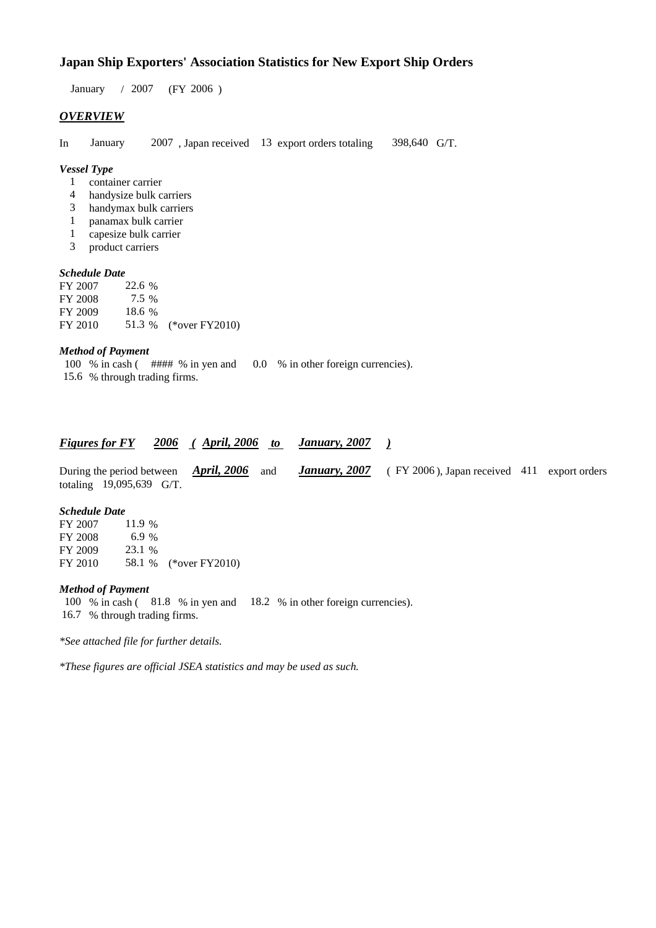### **Japan Ship Exporters' Association Statistics for New Export Ship Orders**

 $/ 2007$  (FY 2006) January / 2007

#### *OVERVIEW*

In January 2007, Japan received 13 export orders totaling 398,640 G/T. 398,640 G/T.

#### *Vessel Type*

- container carrier 1
- handysize bulk carriers 4
- handymax bulk carriers 3
- panamax bulk carrier 1
- capesize bulk carrier 1
- product carriers 3

#### *Schedule Date*

| FY 2007 | 22.6 % |                       |
|---------|--------|-----------------------|
| FY 2008 | 7.5 %  |                       |
| FY 2009 | 18.6 % |                       |
| FY 2010 |        | 51.3 % (*over FY2010) |

#### *Method of Payment*

100 % in cash ( #### % in yen and 0.0 % in other foreign currencies).

### % through trading firms. 15.6

#### *Figures for FY* 2006 (April, 2006 to January, 2007)

|                            |  |  |  | During the period between <i>April, 2006</i> and <i>January, 2007</i> (FY 2006), Japan received 411 export orders |  |
|----------------------------|--|--|--|-------------------------------------------------------------------------------------------------------------------|--|
| totaling $19,095,639$ G/T. |  |  |  |                                                                                                                   |  |

#### *Schedule Date*

| FY 2007 | 11.9 % |                       |
|---------|--------|-----------------------|
| FY 2008 | 6.9 %  |                       |
| FY 2009 | 23.1 % |                       |
| FY 2010 |        | 58.1 % (*over FY2010) |

#### *Method of Payment*

100 % in cash (81.8 % in yen and 18.2 % in other foreign currencies). 16.7 % through trading firms.

*\*See attached file for further details.*

*\*These figures are official JSEA statistics and may be used as such.*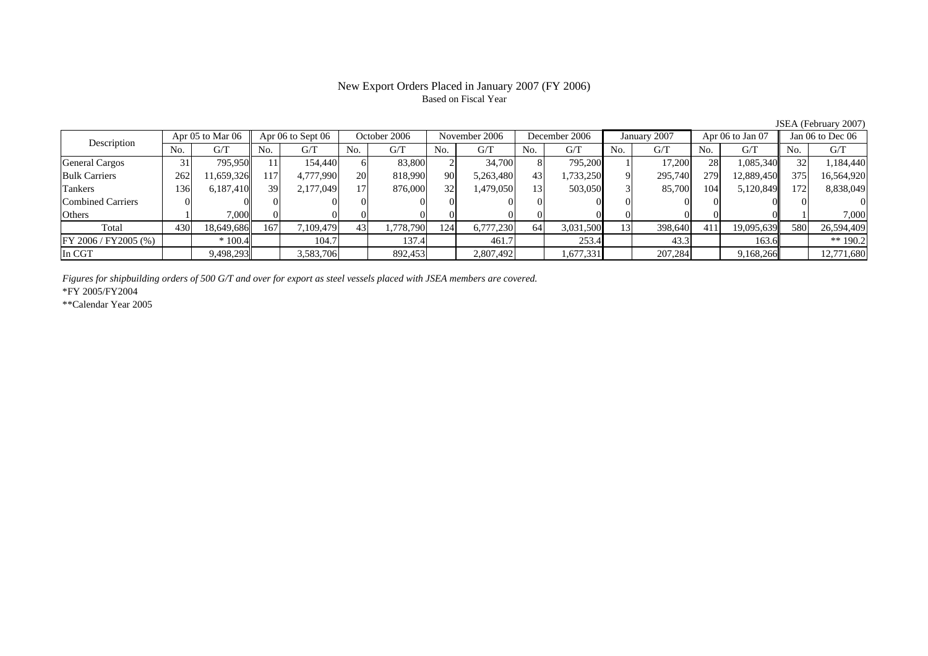#### New Export Orders Placed in January 2007 (FY 2006) Based on Fiscal Year

JSEA (February 2007)

| Description             | Apr 05 to Mar 06 |            | Apr 06 to Sept 06 |           | October 2006 |           | November 2006   |           | December 2006  |           | January 2007 |         | Apr 06 to Jan 07 |            | Jan $06$ to Dec $06$ |            |
|-------------------------|------------------|------------|-------------------|-----------|--------------|-----------|-----------------|-----------|----------------|-----------|--------------|---------|------------------|------------|----------------------|------------|
|                         | No.              | G/T        | No.               | G/T       | No.          | G/T       | N <sub>0</sub>  | G/T       | N <sub>0</sub> | G/T       | No.          | G/T     | No.              | G/T        | No.                  | G/T        |
| <b>General Cargos</b>   | 31               | 795.950    |                   | 154,440   |              | 83,800    |                 | 34,700    | 8              | 795,200   |              | 17.200  | 28               | 1,085,340  |                      | 1,184,440  |
| <b>Bulk Carriers</b>    | 262              | 1,659,326  | 117               | 4,777,990 | 20           | 818,990   | 90              | 5,263,480 | 43             | 1,733,250 |              | 295,740 | 279              | 12,889,450 | 375                  | 16,564,920 |
| Tankers                 | 136              | 6,187,410  | 39                | 2,177,049 |              | 876,000   | 32 <sup>1</sup> | 1,479,050 | 13             | 503,050   |              | 85,700  | 104              | 5,120,849  | 172                  | 8,838,049  |
| Combined Carriers       |                  |            |                   |           |              |           |                 |           |                |           |              |         |                  |            |                      |            |
| Others                  |                  | 7,000      |                   |           |              |           |                 |           |                |           |              |         |                  |            |                      | 7,000      |
| Total                   | 430              | 18,649,686 | 167               | 109,479   | 43           | 1,778,790 | 124             | 6,777,230 | 64             | 3,031,500 | 13           | 398,640 | 411              | 19.095.639 | 580                  | 26,594,409 |
| $FY 2006 / FY 2005$ (%) |                  | $*100.4$   |                   | 104.7     |              | 137.4     |                 | 461.7     |                | 253.4     |              | 43.3    |                  | 163.6      |                      | ** 190.2   |
| In CGT                  |                  | 9,498,293  |                   | 3,583,706 |              | 892,453   |                 | 2,807,492 |                | 1,677,331 |              | 207,284 |                  | 9,168,266  |                      | 12,771,680 |

*Figures for shipbuilding orders of 500 G/T and over for export as steel vessels placed with JSEA members are covered.*

\*FY 2005/FY2004

\*\*Calendar Year 2005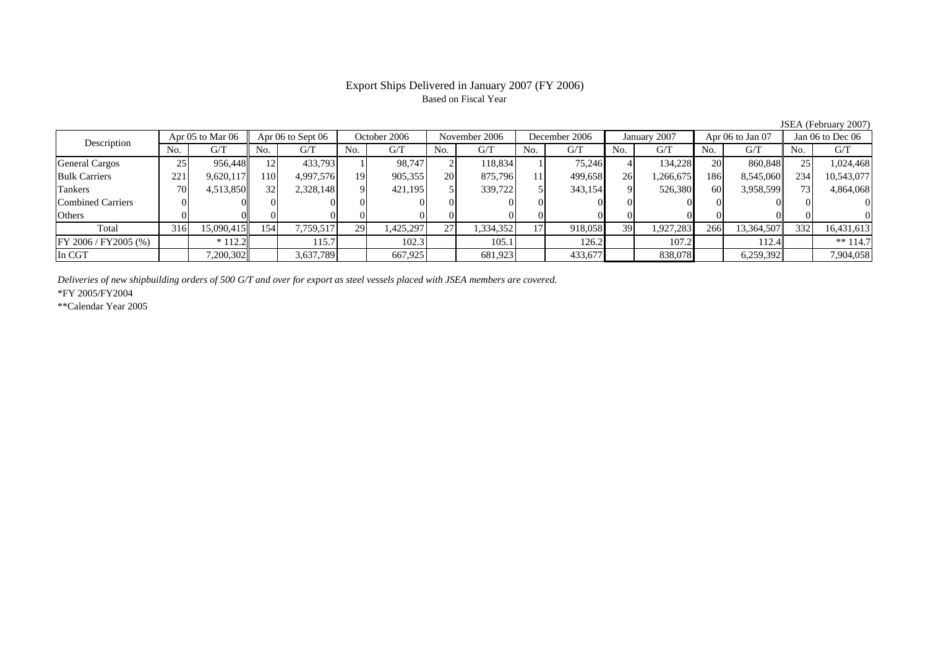# Based on Fiscal Year

No. I G/T II No. I G/T II No. I G/T II No. I G/T G/T II No. I G/T II No. I G/T II No. I G/T II No. I G/T II No  $G/T$ General Cargos 25 956,448 12 433,793 1 98,747 2 118,834 1 75,246 4 134,228 20 860,848 25 1,024,468 Bulk Carriers | 221 9,620,117|| 110 4,997,576 19 905,355 20 875,796 11 499,658 26 1,266,675 186 8,545,060|| 234 10,543,077 Tankers | 70 | 4,513,850 || 32 | 2,328,148 | 9 | 421,195 | 339,722 | 5 | 343,154 | 9 | 526,380 | 60 | 3,958,599 || 73 | 4,864,068 Combined Carriers 0 0 0 0 0 0 0 0 0 0 0 0 0 0 0 0Others | 0 | 0 | 0 | 0 | 0 | 0 | 0 | 0 | 0 | 0 | Total 316 15,090,415 154 7,759,517 29 1,425,297 27 1,334,352 17 918,058 39 1,927,283 266 13,364,507 332 16,431,613 FY 2006 / FY2005 (%) \* 112.2 115.7 102.3 105.1 126.2 107.2 112.4 \*\* 114.7 In CGT | | 7,200,302|| | 3,637,789 | | 667,925 | | 681,923 | | 433,677 | | 838,078 | | 6,259,392 | | 7,904,058 Description Apr 05 to Mar 06 Apr 06 to Sept 06 October 2006 November 2006 December 2006 January 2007 Apr 06 to Jan 07 Jan 06 to Dec 06

*Deliveries of new shipbuilding orders of 500 G/T and over for export as steel vessels placed with JSEA members are covered.*

\*FY 2005/FY2004

\*\*Calendar Year 2005

JSEA (February 2007)

## Export Ships Delivered in January 2007 (FY 2006)